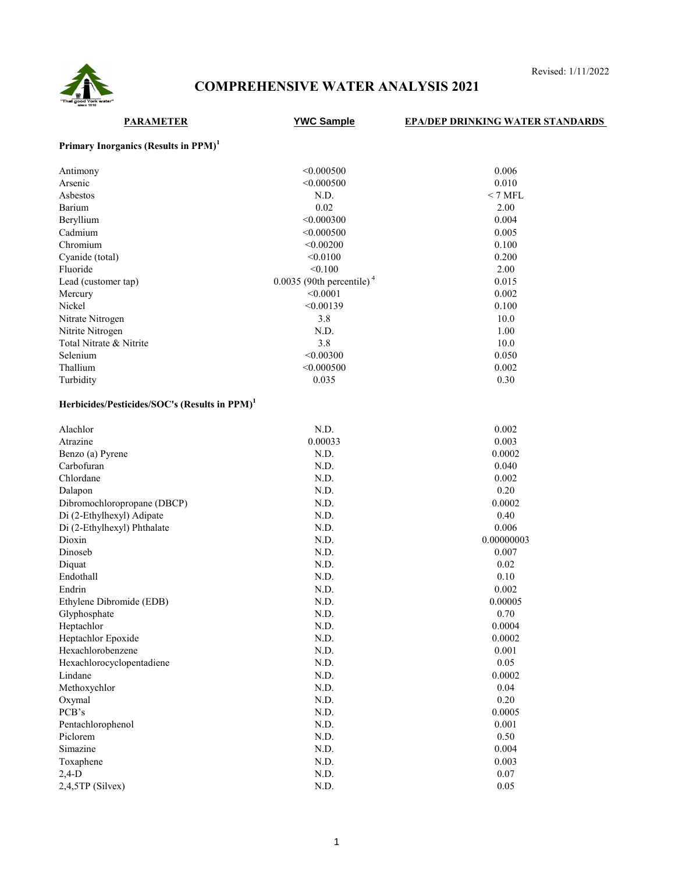

# **COMPREHENSIVE WATER ANALYSIS 2021**

Revised: 1/11/2022

### **PARAMETER YWC Sample EPA/DEP DRINKING WATER STANDARDS Primary Inorganics (Results in PPM)<sup>1</sup>** Antimony 0.006 0.000500 0.006 0.0006 0.0006 0.0006 0.0006 0.0006 0.0006 0.0006 0.0006 0.0006 0.0006 0.0006 0.0 Arsenic 20.000500 0.010 Asbestos N.D.  $\sim$  7 MFL Barium 2.002 2.00 Beryllium 0.004 0.000300 0.004 Cadmium 0.005 0.000500 0.005 0.000500 0.005 Chromium  $< 0.00200$  0.100 Cyanide (total)  $< 0.0100$  0.200 Fluoride  $< 0.100$  2.00 Lead (customer tap)  $0.0035$  (90th percentile)<sup>4</sup>  $0.015$ Mercury 0.002 0.002 0.002 0.002 0.002 0.002 0.002 0.002 0.002 0.002 0.002 0.002 0.002 0.002 0.002 0.002 0.002 0.002 0.002 0.002 0.002 0.002 0.002 0.002 0.002 0.002 0.002 0.002 0.002 0.002 0.002 0.002 0.002 0.002 0.002 0.00 Nickel 2012 2013 2014 2014 2015 2016 2017 2018 2019 2017 2017 2018 2019 2017 2017 2018 2017 2017 2018 2017 201 Nitrate Nitrogen 2.8 10.0 Nitrite Nitrogen 1.00 Total Nitrate & Nitrite 3.8 10.0 Selenium 0.050 0.050 0.050 0.050 0.050 0.050 0.050 0.050 0.050 0.050 0.050 0.050 0.050 0.050 0.050 0.050 0.050 0.050 0.050 0.050 0.050 0.050 0.050 0.050 0.050 0.050 0.050 0.050 0.050 0.050 0.050 0.050 0.050 0.050 0.050 0.0 Thallium 0.002 0.000500 0.002 Turbidity 0.035 0.30 **Herbicides/Pesticides/SOC's (Results in PPM)<sup>1</sup>** Alachlor 0.002 Atrazine 0.00033 0.00033 0.0003 Benzo (a) Pyrene  $N.D.$  0.0002 Carbofuran **Carbofuran** 1.1 and 2.040 minutes of the N.D. 2.040 minutes of the Carbofuran 1.040 minutes of the Carbofuran 1.040 minutes of the Carbofuran 1.040 minutes of the Carbofuran 1.040 minutes of the Carbofuran 1.04 Chlordane 0.002 Dalapon 0.20 Dibromochloropropane (DBCP) N.D. N.D. 0.0002 Di (2-Ethylhexyl) Adipate 1988 1.0 0.40 Di (2-Ethylhexyl) Phthalate N.D. 0.006 Dioxin 0.00000003 0.00000003 Dinoseb 0.007 Diquat 6.02 0.02 Endothall **N.D.** 0.10 Endrin and the contract of the contract of the Contract of the Contract of the Contract of the Contract of the Contract of the Contract of the Contract of the Contract of the Contract of the Contract of the Contract of the Ethylene Dibromide (EDB) N.D. N.D. 0.00005 Glyphosphate 0.70 Heptachlor 0.0004 and 0.0004 and 0.0004 and 0.0004 and 0.0004 and 0.0004 and 0.0004 and 0.0004 and 0.0004 and 0.0004 and 0.0004 and 0.0004 and 0.0004 and 0.0004 and 0.0004 and 0.0004 and 0.0004 and 0.0004 and 0.0004 and 0. Heptachlor Epoxide **N.D.** N.D. 0.0002 Hexachlorobenzene N.D. 0.001 Hexachlorocyclopentadiene  $N.D.$  0.05 Lindane 0.0002 Methoxychlor **N.D.** 0.04 Oxymal and the contract of the Contract of the Contract of the Contract of the Contract of the Contract of the Contract of the Contract of the Contract of the Contract of the Contract of the Contract of the Contract of the PCB's 0.0005 Pentachlorophenol **N.D.** 0.001 Piclorem N.D. 6.50 Simazine 0.004 and 0.004 and 0.004 and 0.004 and 0.004 and 0.004 and 0.004 and 0.004 and 0.004 and 0.004 and 0.004 and 0.004 and 0.004 and 0.004 and 0.004 and 0.004 and 0.004 and 0.004 and 0.004 and 0.004 and 0.004 and 0.0 Toxaphene N.D. 0.003 2,4-D N.D. 0.07 2,4,5TP (Silvex) 0.05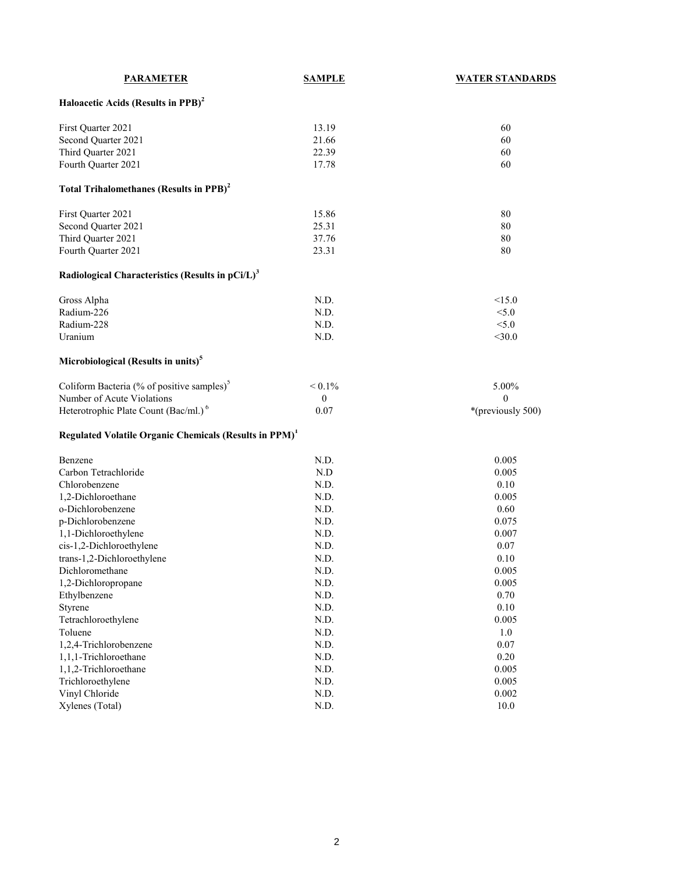| <b>PARAMETER</b>                                                   | <b>SAMPLE</b> | <b>WATER STANDARDS</b> |
|--------------------------------------------------------------------|---------------|------------------------|
| Haloacetic Acids (Results in PPB) <sup>2</sup>                     |               |                        |
| First Quarter 2021                                                 | 13.19         | 60                     |
| Second Quarter 2021                                                | 21.66         | 60                     |
| Third Quarter 2021                                                 | 22.39         | 60                     |
| Fourth Quarter 2021                                                | 17.78         | 60                     |
| Total Trihalomethanes (Results in PPB) <sup>2</sup>                |               |                        |
| First Quarter 2021                                                 | 15.86         | 80                     |
| Second Quarter 2021                                                | 25.31         | 80                     |
| Third Quarter 2021                                                 | 37.76         | 80                     |
| Fourth Quarter 2021                                                | 23.31         | 80                     |
| Radiological Characteristics (Results in pCi/L) <sup>3</sup>       |               |                        |
| Gross Alpha                                                        | N.D.          | <15.0                  |
| Radium-226                                                         | N.D.          | < 5.0                  |
| Radium-228                                                         | N.D.          | < 5.0                  |
| Uranium                                                            | N.D.          | $<$ 30.0               |
| Microbiological (Results in units) <sup>5</sup>                    |               |                        |
| Coliform Bacteria (% of positive samples) <sup>5</sup>             | $< 0.1\%$     | 5.00%                  |
| Number of Acute Violations                                         | $\theta$      | $\mathbf{0}$           |
| Heterotrophic Plate Count (Bac/ml.) <sup>6</sup>                   | 0.07          | *(previously 500)      |
| Regulated Volatile Organic Chemicals (Results in PPM) <sup>1</sup> |               |                        |
| Benzene                                                            | N.D.          | 0.005                  |
| Carbon Tetrachloride                                               | N.D           | 0.005                  |
| Chlorobenzene                                                      | N.D.          | 0.10                   |
| 1,2-Dichloroethane                                                 | N.D.          | 0.005                  |
| o-Dichlorobenzene                                                  | N.D.          | 0.60                   |
| p-Dichlorobenzene                                                  | N.D.          | 0.075                  |
| 1,1-Dichloroethylene                                               | N.D.          | 0.007                  |
| cis-1,2-Dichloroethylene                                           | N.D.          | 0.07                   |
| trans-1,2-Dichloroethylene                                         | N.D.          | 0.10                   |
| Dichloromethane                                                    | N.D.          | 0.005                  |
| 1,2-Dichloropropane                                                | N.D.          | 0.005                  |
| Ethylbenzene                                                       | N.D.          | 0.70                   |
| Styrene                                                            | N.D.          | $0.10\,$               |
| Tetrachloroethylene                                                | N.D.          | 0.005                  |
| Toluene                                                            | N.D.          | $1.0\,$                |
| 1,2,4-Trichlorobenzene                                             | N.D.          | 0.07                   |
| 1,1,1-Trichloroethane                                              | N.D.          | 0.20                   |
| 1,1,2-Trichloroethane                                              | N.D.          | 0.005                  |
| Trichloroethylene                                                  | N.D.          | 0.005                  |
| Vinyl Chloride                                                     | N.D.          | 0.002                  |
| Xylenes (Total)                                                    | N.D.          | $10.0\,$               |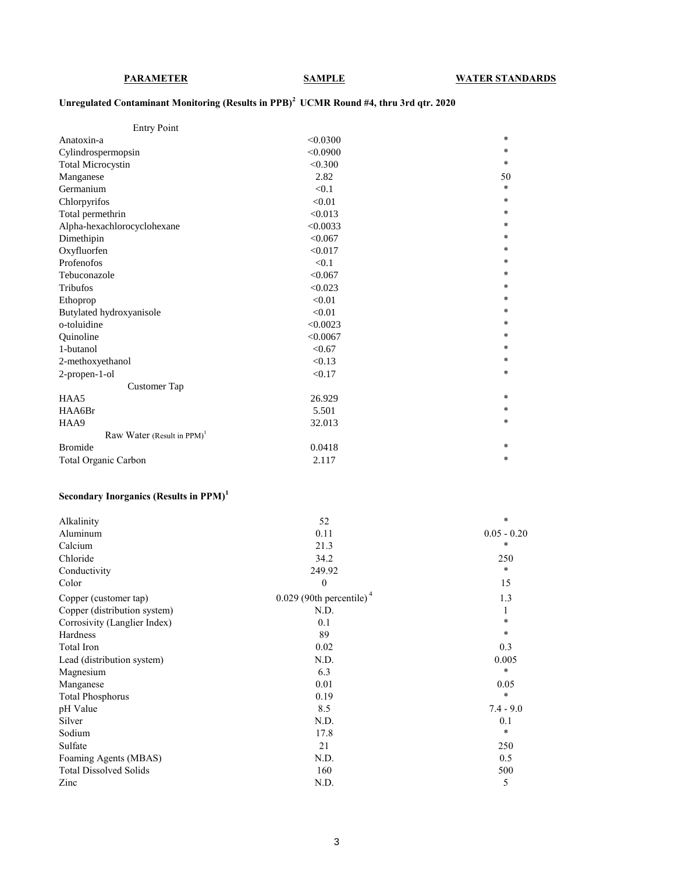# **Unregulated Contaminant Monitoring (Results in PPB)<sup>2</sup>UCMR Round #4, thru 3rd qtr. 2020**

| <b>Entry Point</b>                        |          |        |
|-------------------------------------------|----------|--------|
| Anatoxin-a                                | < 0.0300 | $\ast$ |
| Cylindrospermopsin                        | < 0.0900 | $*$    |
| <b>Total Microcystin</b>                  | < 0.300  | $\ast$ |
| Manganese                                 | 2.82     | 50     |
| Germanium                                 | < 0.1    | $\ast$ |
| Chlorpyrifos                              | < 0.01   | $\ast$ |
| Total permethrin                          | < 0.013  | $\ast$ |
| Alpha-hexachlorocyclohexane               | < 0.0033 | $\ast$ |
| Dimethipin                                | < 0.067  | $\ast$ |
| Oxyfluorfen                               | < 0.017  | $\ast$ |
| Profenofos                                | < 0.1    | $\ast$ |
| Tebuconazole                              | < 0.067  | $\ast$ |
| <b>Tribufos</b>                           | < 0.023  | $\ast$ |
| Ethoprop                                  | < 0.01   | $\ast$ |
| Butylated hydroxyanisole                  | < 0.01   | $\ast$ |
| o-toluidine                               | < 0.0023 | $*$    |
| Ouinoline                                 | < 0.0067 | $*$    |
| 1-butanol                                 | < 0.67   | $*$    |
| 2-methoxyethanol                          | < 0.13   | $\ast$ |
| 2-propen-1-ol                             | < 0.17   | $\ast$ |
| Customer Tap                              |          |        |
| HAA5                                      | 26.929   | $\ast$ |
| HAA6Br                                    | 5.501    | $\ast$ |
| HAA9                                      | 32.013   | $\ast$ |
| Raw Water (Result in $PPM$ ) <sup>1</sup> |          |        |
| <b>Bromide</b>                            | 0.0418   | $\ast$ |
| Total Organic Carbon                      | 2.117    | $\ast$ |

# **Secondary Inorganics (Results in PPM)<sup>1</sup>**

| Alkalinity                    | 52                                     | *             |
|-------------------------------|----------------------------------------|---------------|
| Aluminum                      | 0.11                                   | $0.05 - 0.20$ |
| Calcium                       | 21.3                                   | *             |
| Chloride                      | 34.2                                   | 250           |
| Conductivity                  | 249.92                                 | *             |
| Color                         | $\boldsymbol{0}$                       | 15            |
| Copper (customer tap)         | $0.029$ (90th percentile) <sup>4</sup> | 1.3           |
| Copper (distribution system)  | N.D.                                   |               |
| Corrosivity (Langlier Index)  | 0.1                                    | $\ast$        |
| Hardness                      | 89                                     | *             |
| Total Iron                    | 0.02                                   | 0.3           |
| Lead (distribution system)    | N.D.                                   | 0.005         |
| Magnesium                     | 6.3                                    | *             |
| Manganese                     | 0.01                                   | 0.05          |
| <b>Total Phosphorus</b>       | 0.19                                   | *             |
| pH Value                      | 8.5                                    | $7.4 - 9.0$   |
| Silver                        | N.D.                                   | 0.1           |
| Sodium                        | 17.8                                   | *             |
| Sulfate                       | 21                                     | 250           |
| Foaming Agents (MBAS)         | N.D.                                   | 0.5           |
| <b>Total Dissolved Solids</b> | 160                                    | 500           |
| Zinc                          | N.D.                                   | 5             |